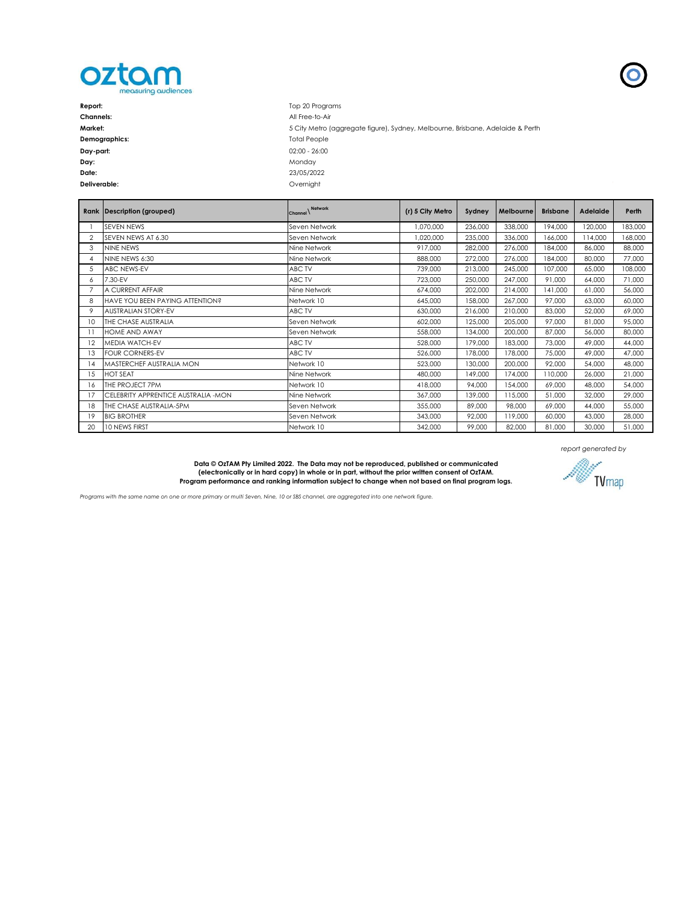

| Report:          | Top 20 Programs                                                                |
|------------------|--------------------------------------------------------------------------------|
| <b>Channels:</b> | All Free-to-Air                                                                |
| Market:          | 5 City Metro (aggregate figure), Sydney, Melbourne, Brisbane, Adelaide & Perth |
| Demographics:    | <b>Total People</b>                                                            |
| Day-part:        | $02:00 - 26:00$                                                                |
| Day:             | Mondav                                                                         |
| Date:            | 23/05/2022                                                                     |
| Deliverable:     | Overnight                                                                      |

|                 | Rank Description (grouped)           | Network<br>Channel \ | (r) 5 City Metro | Sydney  | Melbourne | <b>Brisbane</b> | <b>Adelaide</b> | Perth   |
|-----------------|--------------------------------------|----------------------|------------------|---------|-----------|-----------------|-----------------|---------|
|                 | SFVFN NFWS                           | Seven Network        | 1.070.000        | 236,000 | 338,000   | 194,000         | 120,000         | 183,000 |
| $\overline{2}$  | SFVEN NEWS AT 6.30                   | Seven Network        | 1,020,000        | 235,000 | 336,000   | 166,000         | 114,000         | 168,000 |
| 3               | NINF NFWS                            | Nine Network         | 917,000          | 282,000 | 276,000   | 184,000         | 86,000          | 88,000  |
| 4               | NINE NEWS 6:30                       | Nine Network         | 888,000          | 272,000 | 276,000   | 184,000         | 80,000          | 77,000  |
| 5               | <b>ABC NEWS-EV</b>                   | ABC TV               | 739,000          | 213,000 | 245,000   | 107,000         | 65,000          | 108,000 |
| 6               | 7.30-EV                              | ABC TV               | 723,000          | 250,000 | 247.000   | 91,000          | 64,000          | 71,000  |
|                 | A CURRENT AFFAIR                     | Nine Network         | 674,000          | 202,000 | 214,000   | 141,000         | 61,000          | 56,000  |
| 8               | HAVE YOU BEEN PAYING ATTENTION?      | Network 10           | 645,000          | 158,000 | 267,000   | 97.000          | 63,000          | 60,000  |
| 9               | <b>AUSTRALIAN STORY-EV</b>           | ABC TV               | 630,000          | 216,000 | 210,000   | 83,000          | 52,000          | 69,000  |
| 10 <sup>2</sup> | THE CHASE AUSTRALIA                  | Seven Network        | 602,000          | 125,000 | 205,000   | 97,000          | 81,000          | 95,000  |
| 11              | <b>HOME AND AWAY</b>                 | Seven Network        | 558,000          | 134,000 | 200,000   | 87,000          | 56,000          | 80,000  |
| 12              | <b>MEDIA WATCH-EV</b>                | ABC TV               | 528,000          | 179,000 | 183,000   | 73,000          | 49,000          | 44,000  |
| 13              | <b>FOUR CORNERS-EV</b>               | ABC TV               | 526.000          | 178,000 | 178,000   | 75,000          | 49,000          | 47,000  |
| 14              | MASTERCHEF AUSTRALIA MON             | Network 10           | 523,000          | 130,000 | 200,000   | 92,000          | 54,000          | 48,000  |
| 15              | <b>HOT SEAT</b>                      | Nine Network         | 480,000          | 149,000 | 174,000   | 110,000         | 26,000          | 21,000  |
| 16              | THE PROJECT 7PM                      | Network 10           | 418,000          | 94,000  | 154,000   | 69,000          | 48,000          | 54,000  |
| 17              | CELEBRITY APPRENTICE AUSTRALIA - MON | Nine Network         | 367.000          | 139,000 | 115,000   | 51,000          | 32,000          | 29,000  |
| 18              | THE CHASE AUSTRALIA-5PM              | Seven Network        | 355,000          | 89,000  | 98,000    | 69,000          | 44,000          | 55,000  |
| 19              | <b>BIG BROTHER</b>                   | Seven Network        | 343,000          | 92,000  | 119,000   | 60,000          | 43,000          | 28,000  |
| 20              | <b>10 NEWS FIRST</b>                 | Network 10           | 342,000          | 99,000  | 82,000    | 81,000          | 30,000          | 51,000  |

Data © OzTAM Pty Limited 2022. The Data may not be reproduced, published or communicated<br>(electronically or in hard copy) in whole or in part, without the prior written consent of OzTAM.<br>Program performance and ranking inf





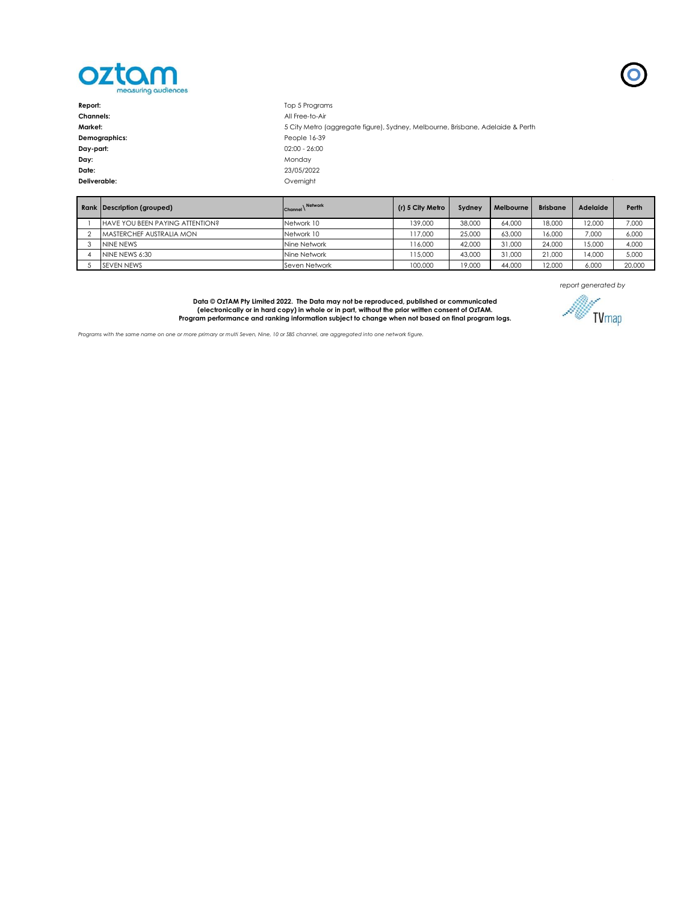

| Report:          | Top 5 Programs                                                                 |
|------------------|--------------------------------------------------------------------------------|
| <b>Channels:</b> | All Free-to-Air                                                                |
| Market:          | 5 City Metro (aggregate figure), Sydney, Melbourne, Brisbane, Adelaide & Perth |
| Demographics:    | People 16-39                                                                   |
| Day-part:        | $02:00 - 26:00$                                                                |
| Day:             | Monday                                                                         |
| Date:            | 23/05/2022                                                                     |
| Deliverable:     | Overnight                                                                      |
|                  |                                                                                |

| Rank Description (grouped)      | Network<br>Channel | (r) 5 City Metro | Sydney | Melbourne | <b>Brisbane</b> | <b>Adelaide</b> | Perth  |
|---------------------------------|--------------------|------------------|--------|-----------|-----------------|-----------------|--------|
| HAVE YOU BEEN PAYING ATTENTION? | Network 10         | 139,000          | 38,000 | 64,000    | 18,000          | 12,000          | 7,000  |
| MASTERCHEF AUSTRALIA MON        | Network 10         | 117.000          | 25,000 | 63,000    | 16,000          | 7.000           | 6.000  |
| NINE NEWS                       | Nine Network       | 116.000          | 42,000 | 31,000    | 24,000          | 15,000          | 4.000  |
| NINE NEWS 6:30                  | Nine Network       | 115,000          | 43,000 | 31,000    | 21,000          | 14,000          | 5,000  |
| <b>SEVEN NEWS</b>               | Seven Network      | 100,000          | 19,000 | 44,000    | 12,000          | 6.000           | 20,000 |

*report generated by*

 $\overline{\mathbf{O}}$ 

Data © OzTAM Pty Limited 2022. The Data may not be reproduced, published or communicated<br>(electronically or in hard copy) in whole or in part, without the prior written consent of OzTAM.<br>Program performance and ranking inf



*Programs with the same name on one or more primary or multi Seven, Nine, 10 or SBS channel, are aggregated into one network figure.*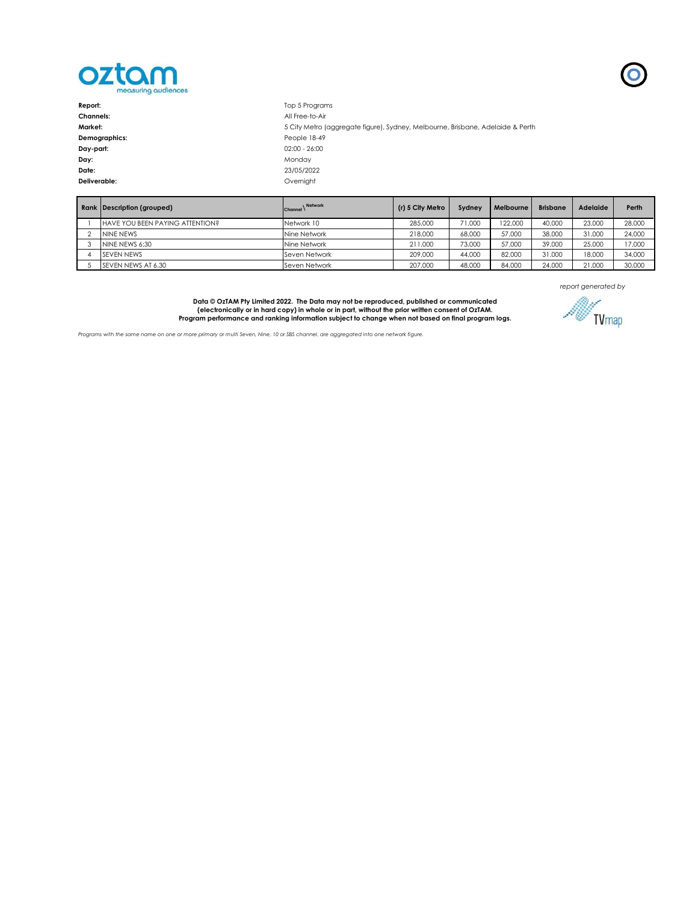

| Report:          | Top 5 Programs                                                                 |
|------------------|--------------------------------------------------------------------------------|
| <b>Channels:</b> | All Free-to-Air                                                                |
| Market:          | 5 City Metro (aggregate figure), Sydney, Melbourne, Brisbane, Adelaide & Perth |
| Demographics:    | People 18-49                                                                   |
| Day-part:        | $02:00 - 26:00$                                                                |
| Day:             | Monday                                                                         |
| Date:            | 23/05/2022                                                                     |
| Deliverable:     | Overnight                                                                      |
|                  |                                                                                |

|  | Rank Description (grouped)      | Network<br>Channel $\lambda$ | (r) 5 City Metro | Sydney | Melbourne | <b>Brisbane</b> | <b>Adelaide</b> | Perth  |
|--|---------------------------------|------------------------------|------------------|--------|-----------|-----------------|-----------------|--------|
|  | HAVE YOU BEEN PAYING ATTENTION? | Network 10                   | 285,000          | 71,000 | 122,000   | 40,000          | 23,000          | 28,000 |
|  | NINE NEWS                       | Nine Network                 | 218,000          | 68,000 | 57,000    | 38,000          | 31,000          | 24,000 |
|  | NINE NEWS 6:30                  | Nine Network                 | 211.000          | 73,000 | 57,000    | 39,000          | 25,000          | 17,000 |
|  | <b>SFVFN NFWS</b>               | Seven Network                | 209,000          | 44,000 | 82,000    | 31,000          | 18,000          | 34,000 |
|  | SEVEN NEWS AT 6.30              | Seven Network                | 207,000          | 48,000 | 84,000    | 24,000          | 21,000          | 30,000 |

*report generated by*

Data © OzTAM Pty Limited 2022. The Data may not be reproduced, published or communicated<br>(electronically or in hard copy) in whole or in part, without the prior written consent of OzTAM.<br>Program performance and ranking inf

*Programs with the same name on one or more primary or multi Seven, Nine, 10 or SBS channel, are aggregated into one network figure.*